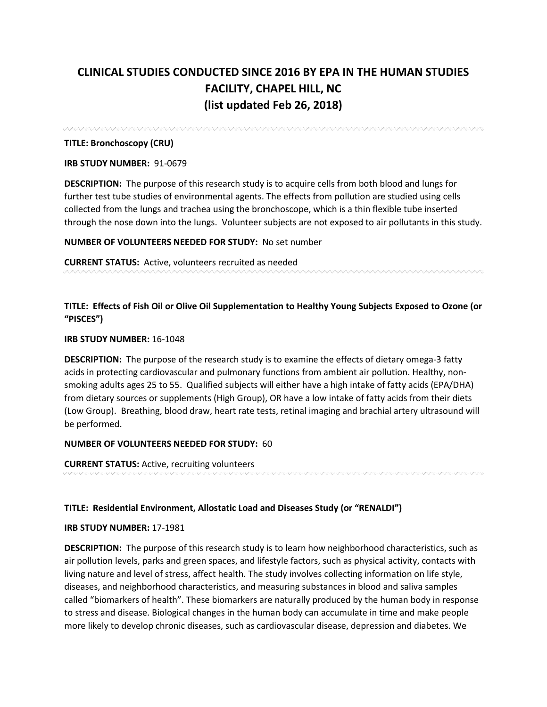# **CLINICAL STUDIES CONDUCTED SINCE 2016 BY EPA IN THE HUMAN STUDIES FACILITY, CHAPEL HILL, NC (list updated Feb 26, 2018)**

**TITLE: Bronchoscopy (CRU)**

## **IRB STUDY NUMBER:** 91-0679

**DESCRIPTION:** The purpose of this research study is to acquire cells from both blood and lungs for further test tube studies of environmental agents. The effects from pollution are studied using cells collected from the lungs and trachea using the bronchoscope, which is a thin flexible tube inserted through the nose down into the lungs. Volunteer subjects are not exposed to air pollutants in this study.

**NUMBER OF VOLUNTEERS NEEDED FOR STUDY:** No set number

**CURRENT STATUS:** Active, volunteers recruited as needed

**TITLE: Effects of Fish Oil or Olive Oil Supplementation to Healthy Young Subjects Exposed to Ozone (or "PISCES")**

## **IRB STUDY NUMBER:** 16-1048

**DESCRIPTION:** The purpose of the research study is to examine the effects of dietary omega-3 fatty acids in protecting cardiovascular and pulmonary functions from ambient air pollution. Healthy, nonsmoking adults ages 25 to 55. Qualified subjects will either have a high intake of fatty acids (EPA/DHA) from dietary sources or supplements (High Group), OR have a low intake of fatty acids from their diets (Low Group). Breathing, blood draw, heart rate tests, retinal imaging and brachial artery ultrasound will be performed.

## **NUMBER OF VOLUNTEERS NEEDED FOR STUDY:** 60

**CURRENT STATUS:** Active, recruiting volunteers

## **TITLE: Residential Environment, Allostatic Load and Diseases Study (or "RENALDI")**

## **IRB STUDY NUMBER:** 17-1981

**DESCRIPTION:** The purpose of this research study is to learn how neighborhood characteristics, such as air pollution levels, parks and green spaces, and lifestyle factors, such as physical activity, contacts with living nature and level of stress, affect health. The study involves collecting information on life style, diseases, and neighborhood characteristics, and measuring substances in blood and saliva samples called "biomarkers of health". These biomarkers are naturally produced by the human body in response to stress and disease. Biological changes in the human body can accumulate in time and make people more likely to develop chronic diseases, such as cardiovascular disease, depression and diabetes. We